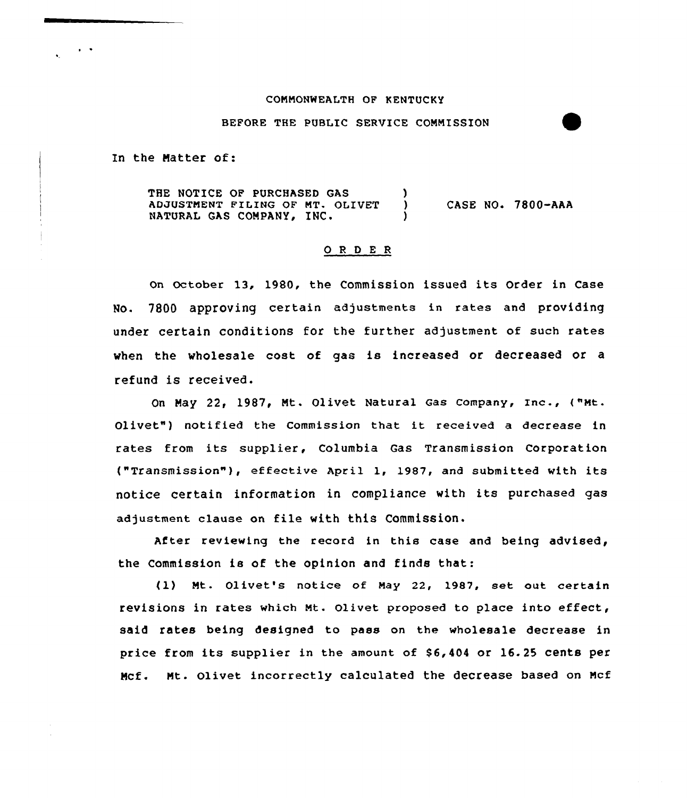### COMMONWEALTH OF KENTUCKY

## BEFORE THE PUBLIC SERVICE COMMISSION

In the Matter of:

THE NOTICE OF PURCHASED GAS ) ADJUSTMENT FILING OF MT. OLIVET ) CASE NO. 7800-AAA<br>NATURAL GAS COMPANY, INC. )

# 0 <sup>R</sup> <sup>D</sup> <sup>E</sup> <sup>R</sup>

On October 13, 1980, the Commission issued its Order in Case No. 7800 approving certain adjustments in rates and providing under certain conditions for the further adjustment of such rates when the wholesale cost of gas is increased or decreased or a refund is received.

On May 22, 1987, Mt. Olivet Natural Gas Company, Inc., ("Mt. Olivet") notified the Commission that it received <sup>a</sup> decrease in rates from its supplier, Columbia Gas Transmission Corporation ("Transmission" ), effective April 1, 1987, and submitted with its notice certain information in compliance with its purchased gas adjustment clause on file with this Commission.

After reviewing the record in this case and being advised, the Commission is of the opinion and finds that:

(1) Mt. Olivet's notice of May 22, 1987, set out certain revisions in rates which Mt. Olivet proposed to place into effect, said rates being designed to pass on the wholesale decrease in price from its supplier in the amount of \$6,404 or 16.25 cents per Mcf. Mt. Olivet incorrectly calculated the decrease based on Mcf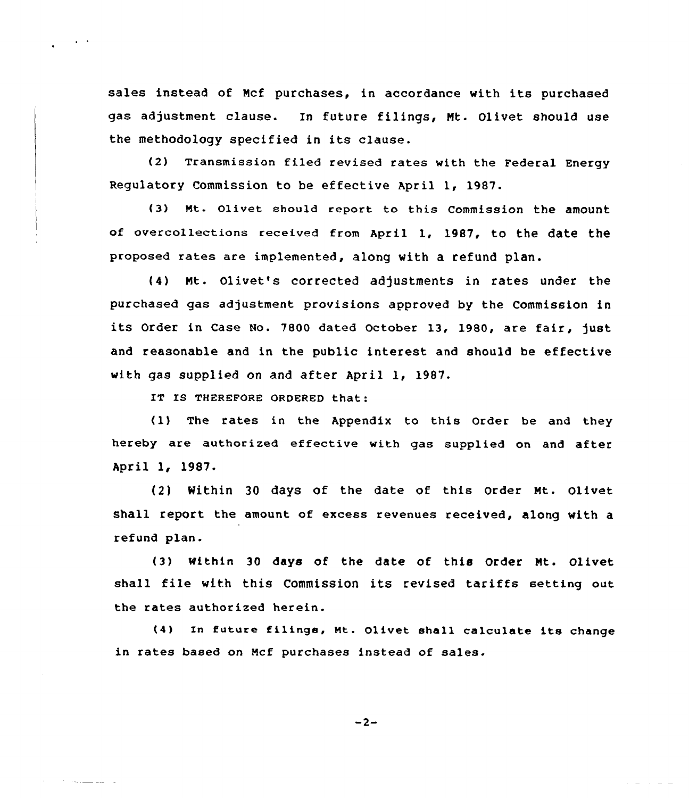sales instead of Ncf purchases, in accordance with its purchased gas adjustment clause. In future filings, Mt- Olivet should use the methodology specified in its clause.

(2) Transmission filed revised rates with the Federal Energy Regulatory Commission to be effective April 1< 1987-

{3) wt. Qlivet should report to this commission the amount of overcollections received from April 1, 1987, to the date the proposed rates are implemented, along with a refund plan.

{4) Nt. Olivet's corrected adjustments in rates under the purchased gas adjustment provisions approved by the Commission in its Order in Case No. 7800 dated October 13, 1980, are fair, just and reasonable and in the public interest and should be effective with gas supplied on and after April 1, 1987.

IT IS THEREFORE ORDERED that:

 $\sim 10^{-11}$ 

Andrew Marian and The

(1) The rates in the Appendix to this Order be and they hereby are authorized effective with gas supplied on and after April 1, 1987.

{2) Mithin 30 days of the date of this Order Nt. Olivet shall report the amount of excess revenues received, along with a refund plan.

(3) within 30 days of the date of this Order Nt. Olivet shall file with this Commission its revised tariffs setting out the rates authorized herein.

(4) In future filings, Mt. Olivet shall calculate its change in rates based on Ncf purchases instead of sales.

 $-2-$ 

**All Strains**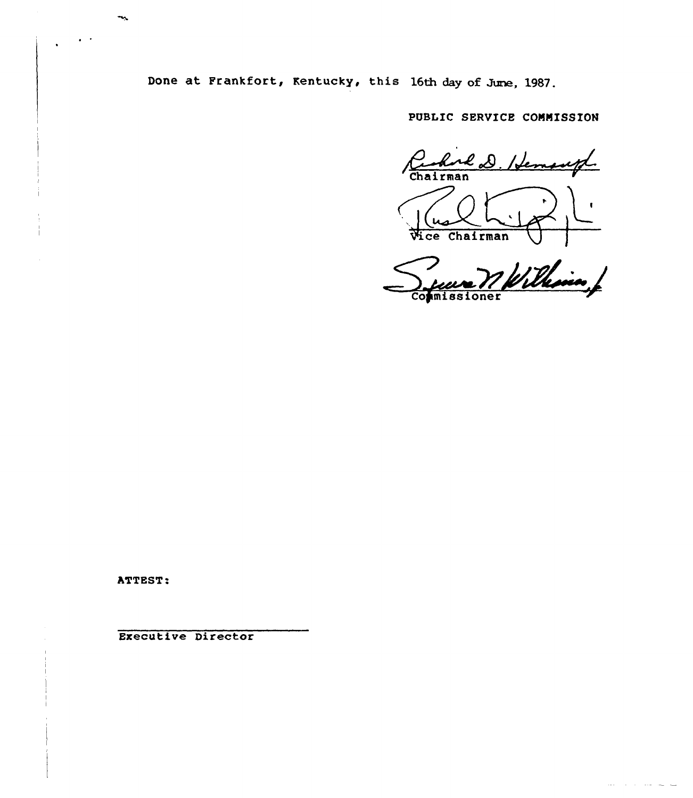Done at Frankfort, Kentucky, this 16th day of June, 1987.

PUBLIC SERVICE CONNISSION

Carlore D. Hemangl **Vice Chairman** 

William Co/missioner

 $\sim 100$  $\sim$   $\sim$ 

ATTEST.

ী

Executive Director